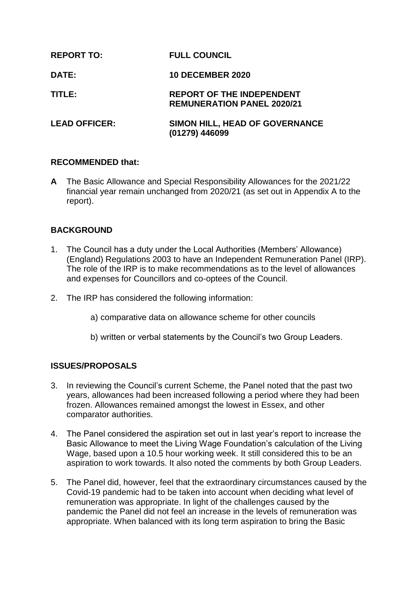| <b>REPORT TO:</b>    | <b>FULL COUNCIL</b>                                                   |
|----------------------|-----------------------------------------------------------------------|
| DATE:                | <b>10 DECEMBER 2020</b>                                               |
| TITLE:               | <b>REPORT OF THE INDEPENDENT</b><br><b>REMUNERATION PANEL 2020/21</b> |
| <b>LEAD OFFICER:</b> | <b>SIMON HILL, HEAD OF GOVERNANCE</b><br>(01279) 446099               |

# **RECOMMENDED that:**

**A** The Basic Allowance and Special Responsibility Allowances for the 2021/22 financial year remain unchanged from 2020/21 (as set out in Appendix A to the report).

# **BACKGROUND**

- 1. The Council has a duty under the Local Authorities (Members' Allowance) (England) Regulations 2003 to have an Independent Remuneration Panel (IRP). The role of the IRP is to make recommendations as to the level of allowances and expenses for Councillors and co-optees of the Council.
- 2. The IRP has considered the following information:
	- a) comparative data on allowance scheme for other councils
	- b) written or verbal statements by the Council's two Group Leaders.

# **ISSUES/PROPOSALS**

- 3. In reviewing the Council's current Scheme, the Panel noted that the past two years, allowances had been increased following a period where they had been frozen. Allowances remained amongst the lowest in Essex, and other comparator authorities.
- 4. The Panel considered the aspiration set out in last year's report to increase the Basic Allowance to meet the Living Wage Foundation's calculation of the Living Wage, based upon a 10.5 hour working week. It still considered this to be an aspiration to work towards. It also noted the comments by both Group Leaders.
- 5. The Panel did, however, feel that the extraordinary circumstances caused by the Covid-19 pandemic had to be taken into account when deciding what level of remuneration was appropriate. In light of the challenges caused by the pandemic the Panel did not feel an increase in the levels of remuneration was appropriate. When balanced with its long term aspiration to bring the Basic